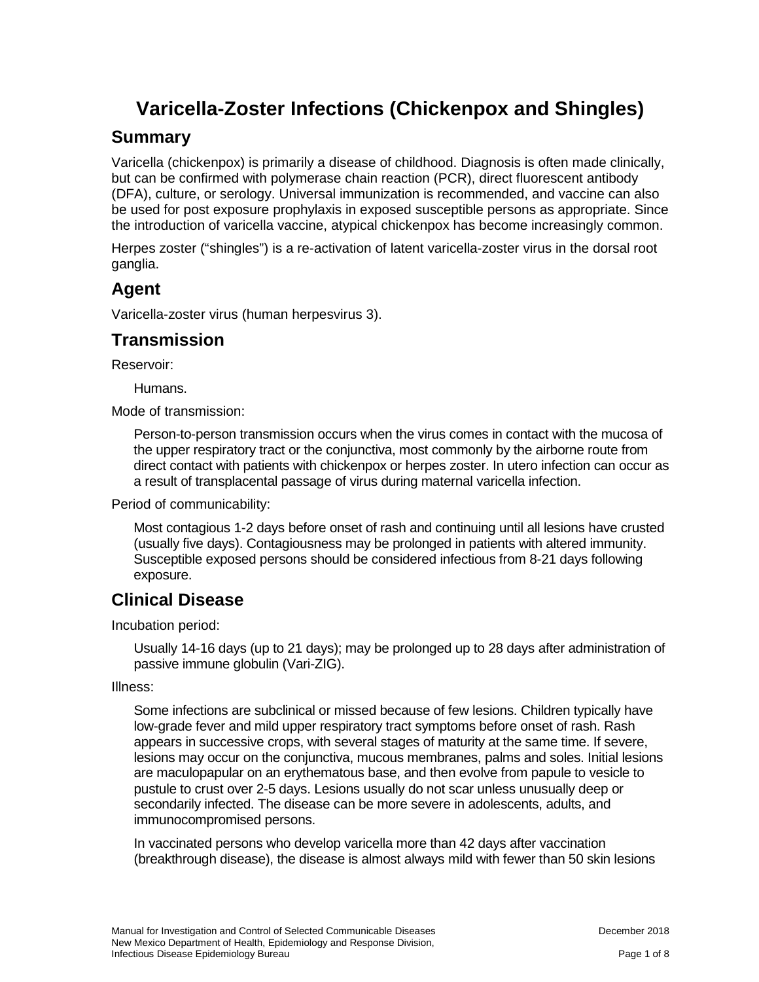# **Varicella-Zoster Infections (Chickenpox and Shingles)**

### **Summary**

Varicella (chickenpox) is primarily a disease of childhood. Diagnosis is often made clinically, but can be confirmed with polymerase chain reaction (PCR), direct fluorescent antibody (DFA), culture, or serology. Universal immunization is recommended, and vaccine can also be used for post exposure prophylaxis in exposed susceptible persons as appropriate. Since the introduction of varicella vaccine, atypical chickenpox has become increasingly common.

Herpes zoster ("shingles") is a re-activation of latent varicella-zoster virus in the dorsal root ganglia.

### **Agent**

Varicella-zoster virus (human herpesvirus 3).

### **Transmission**

Reservoir:

Humans.

Mode of transmission:

Person-to-person transmission occurs when the virus comes in contact with the mucosa of the upper respiratory tract or the conjunctiva, most commonly by the airborne route from direct contact with patients with chickenpox or herpes zoster. In utero infection can occur as a result of transplacental passage of virus during maternal varicella infection.

Period of communicability:

Most contagious 1-2 days before onset of rash and continuing until all lesions have crusted (usually five days). Contagiousness may be prolonged in patients with altered immunity. Susceptible exposed persons should be considered infectious from 8-21 days following exposure.

## **Clinical Disease**

Incubation period:

Usually 14-16 days (up to 21 days); may be prolonged up to 28 days after administration of passive immune globulin (Vari-ZIG).

Illness:

Some infections are subclinical or missed because of few lesions. Children typically have low-grade fever and mild upper respiratory tract symptoms before onset of rash. Rash appears in successive crops, with several stages of maturity at the same time. If severe, lesions may occur on the conjunctiva, mucous membranes, palms and soles. Initial lesions are maculopapular on an erythematous base, and then evolve from papule to vesicle to pustule to crust over 2-5 days. Lesions usually do not scar unless unusually deep or secondarily infected. The disease can be more severe in adolescents, adults, and immunocompromised persons.

In vaccinated persons who develop varicella more than 42 days after vaccination (breakthrough disease), the disease is almost always mild with fewer than 50 skin lesions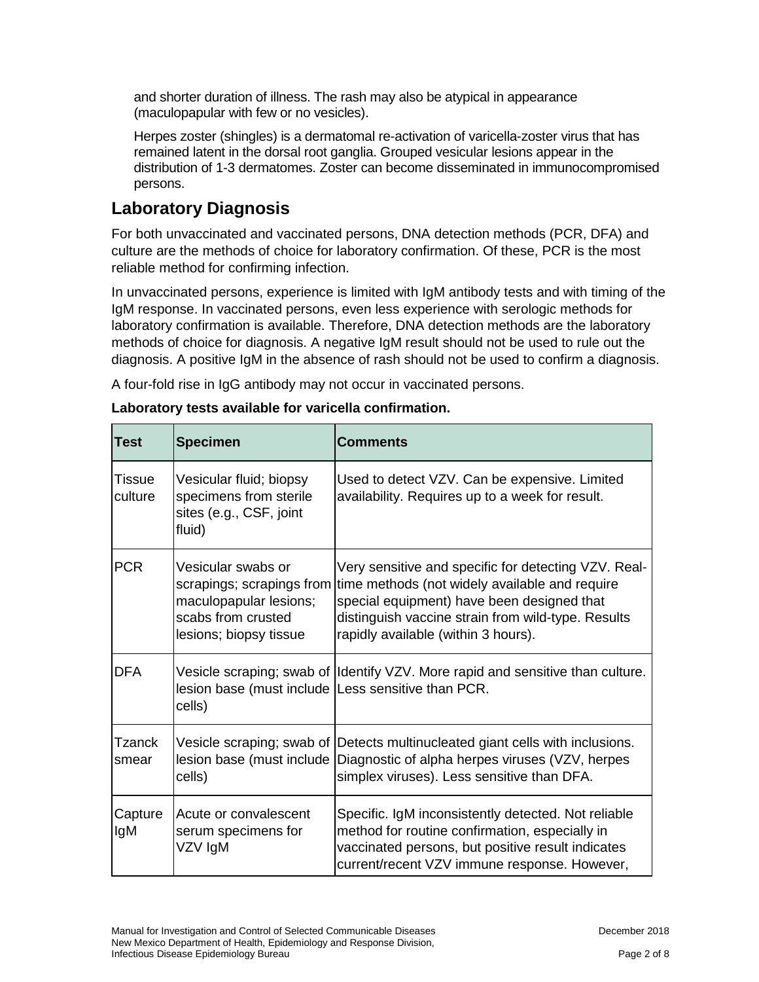and shorter duration of illness. The rash may also be atypical in appearance (maculopapular with few or no vesicles).

Herpes zoster (shingles) is a dermatomal re-activation of varicella-zoster virus that has remained latent in the dorsal root ganglia. Grouped vesicular lesions appear in the distribution of 1-3 dermatomes. Zoster can become disseminated in immunocompromised persons.

## **Laboratory Diagnosis**

For both unvaccinated and vaccinated persons, DNA detection methods (PCR, DFA) and culture are the methods of choice for laboratory confirmation. Of these, PCR is the most reliable method for confirming infection.

In unvaccinated persons, experience is limited with IgM antibody tests and with timing of the IgM response. In vaccinated persons, even less experience with serologic methods for laboratory confirmation is available. Therefore, DNA detection methods are the laboratory methods of choice for diagnosis. A negative IgM result should not be used to rule out the diagnosis. A positive IgM in the absence of rash should not be used to confirm a diagnosis.

A four-fold rise in IgG antibody may not occur in vaccinated persons.

| <b>Test</b>            | <b>Specimen</b>                                                                                                           | <b>Comments</b>                                                                                                                                                                                                                                   |
|------------------------|---------------------------------------------------------------------------------------------------------------------------|---------------------------------------------------------------------------------------------------------------------------------------------------------------------------------------------------------------------------------------------------|
| Tissue<br>culture      | Vesicular fluid; biopsy<br>specimens from sterile<br>sites (e.g., CSF, joint<br>fluid)                                    | Used to detect VZV. Can be expensive. Limited<br>availability. Requires up to a week for result.                                                                                                                                                  |
| <b>PCR</b>             | Vesicular swabs or<br>scrapings; scrapings from<br>maculopapular lesions;<br>scabs from crusted<br>lesions; biopsy tissue | Very sensitive and specific for detecting VZV. Real-<br>time methods (not widely available and require<br>special equipment) have been designed that<br>distinguish vaccine strain from wild-type. Results<br>rapidly available (within 3 hours). |
| <b>DFA</b>             | lesion base (must include Less sensitive than PCR.<br>cells)                                                              | Vesicle scraping; swab of  Identify VZV. More rapid and sensitive than culture.                                                                                                                                                                   |
| <b>Tzanck</b><br>smear | cells)                                                                                                                    | Vesicle scraping; swab of Detects multinucleated giant cells with inclusions.<br>lesion base (must include Diagnostic of alpha herpes viruses (VZV, herpes<br>simplex viruses). Less sensitive than DFA.                                          |
| Capture<br>lgM         | Acute or convalescent<br>serum specimens for<br>VZV IgM                                                                   | Specific. IgM inconsistently detected. Not reliable<br>method for routine confirmation, especially in<br>vaccinated persons, but positive result indicates<br>current/recent VZV immune response. However,                                        |

#### **Laboratory tests available for varicella confirmation.**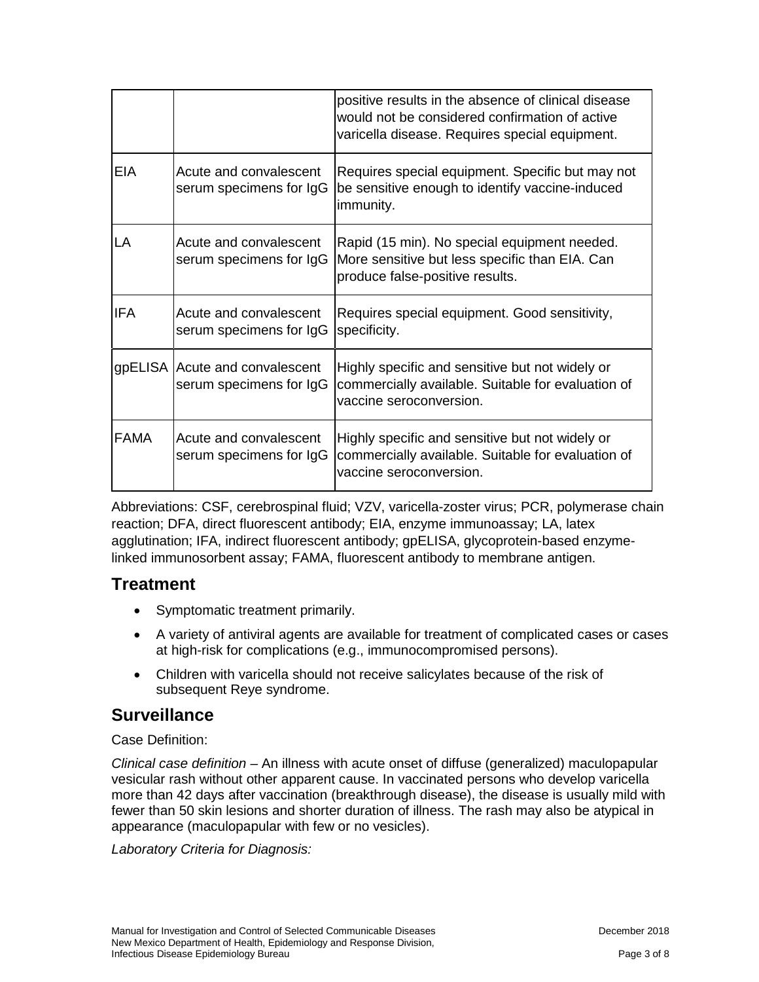|             |                                                           | positive results in the absence of clinical disease<br>would not be considered confirmation of active<br>varicella disease. Requires special equipment. |
|-------------|-----------------------------------------------------------|---------------------------------------------------------------------------------------------------------------------------------------------------------|
| EIA         | Acute and convalescent<br>serum specimens for IgG         | Requires special equipment. Specific but may not<br>be sensitive enough to identify vaccine-induced<br>immunity.                                        |
| ΙA          | Acute and convalescent<br>serum specimens for IgG         | Rapid (15 min). No special equipment needed.<br>More sensitive but less specific than EIA. Can<br>produce false-positive results.                       |
| IFA.        | Acute and convalescent<br>serum specimens for IgG         | Requires special equipment. Good sensitivity,<br>specificity.                                                                                           |
|             | gpELISA Acute and convalescent<br>serum specimens for IgG | Highly specific and sensitive but not widely or<br>commercially available. Suitable for evaluation of<br>vaccine seroconversion.                        |
| <b>FAMA</b> | Acute and convalescent<br>serum specimens for IgG         | Highly specific and sensitive but not widely or<br>commercially available. Suitable for evaluation of<br>vaccine seroconversion.                        |

Abbreviations: CSF, cerebrospinal fluid; VZV, varicella-zoster virus; PCR, polymerase chain reaction; DFA, direct fluorescent antibody; EIA, enzyme immunoassay; LA, latex agglutination; IFA, indirect fluorescent antibody; gpELISA, glycoprotein-based enzymelinked immunosorbent assay; FAMA, fluorescent antibody to membrane antigen.

### **Treatment**

- Symptomatic treatment primarily.
- A variety of antiviral agents are available for treatment of complicated cases or cases at high-risk for complications (e.g., immunocompromised persons).
- Children with varicella should not receive salicylates because of the risk of subsequent Reye syndrome.

## **Surveillance**

#### Case Definition:

*Clinical case definition* – An illness with acute onset of diffuse (generalized) maculopapular vesicular rash without other apparent cause. In vaccinated persons who develop varicella more than 42 days after vaccination (breakthrough disease), the disease is usually mild with fewer than 50 skin lesions and shorter duration of illness. The rash may also be atypical in appearance (maculopapular with few or no vesicles).

*Laboratory Criteria for Diagnosis:*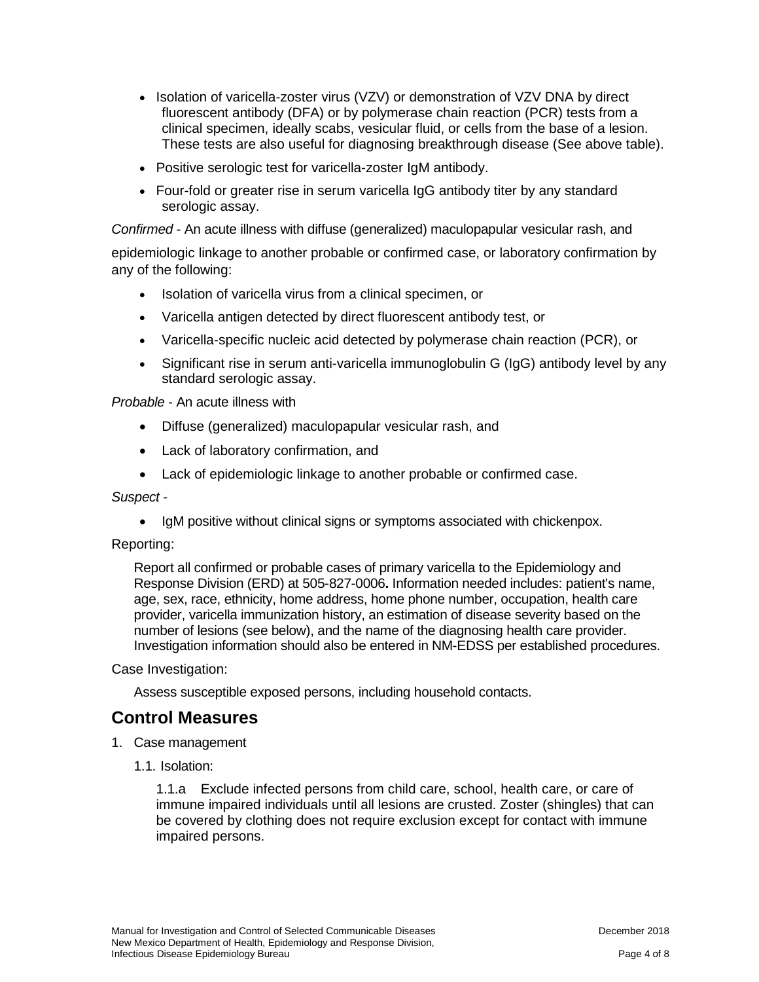- Isolation of varicella-zoster virus (VZV) or demonstration of VZV DNA by direct fluorescent antibody (DFA) or by polymerase chain reaction (PCR) tests from a clinical specimen, ideally scabs, vesicular fluid, or cells from the base of a lesion. These tests are also useful for diagnosing breakthrough disease (See above table).
- Positive serologic test for varicella-zoster IgM antibody.
- Four-fold or greater rise in serum varicella IgG antibody titer by any standard serologic assay.

*Confirmed* - An acute illness with diffuse (generalized) maculopapular vesicular rash, and

epidemiologic linkage to another probable or confirmed case, or laboratory confirmation by any of the following:

- Isolation of varicella virus from a clinical specimen, or
- Varicella antigen detected by direct fluorescent antibody test, or
- Varicella-specific nucleic acid detected by polymerase chain reaction (PCR), or
- Significant rise in serum anti-varicella immunoglobulin G (IgG) antibody level by any standard serologic assay.

*Probable* - An acute illness with

- Diffuse (generalized) maculopapular vesicular rash, and
- Lack of laboratory confirmation, and
- Lack of epidemiologic linkage to another probable or confirmed case.

*Suspect* -

• IgM positive without clinical signs or symptoms associated with chickenpox.

#### Reporting:

Report all confirmed or probable cases of primary varicella to the Epidemiology and Response Division (ERD) at 505-827-0006**.** Information needed includes: patient's name, age, sex, race, ethnicity, home address, home phone number, occupation, health care provider, varicella immunization history, an estimation of disease severity based on the number of lesions (see below), and the name of the diagnosing health care provider. Investigation information should also be entered in NM-EDSS per established procedures.

Case Investigation:

Assess susceptible exposed persons, including household contacts.

### **Control Measures**

- 1. Case management
	- 1.1. Isolation:

1.1.a Exclude infected persons from child care, school, health care, or care of immune impaired individuals until all lesions are crusted. Zoster (shingles) that can be covered by clothing does not require exclusion except for contact with immune impaired persons.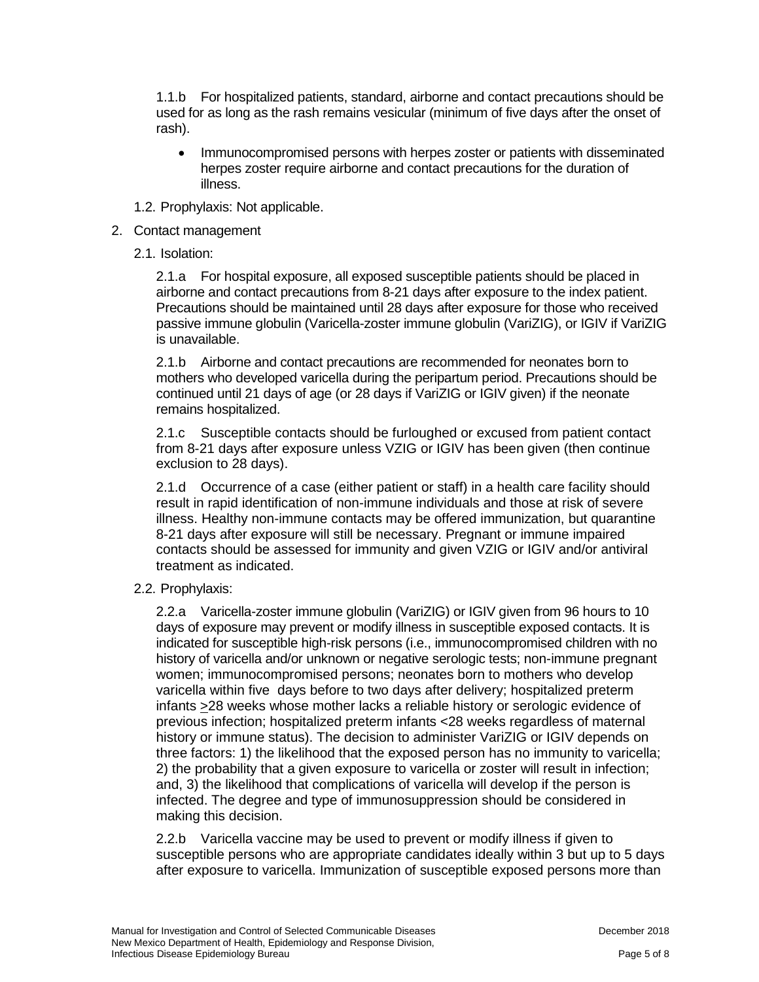1.1.b For hospitalized patients, standard, airborne and contact precautions should be used for as long as the rash remains vesicular (minimum of five days after the onset of rash).

- Immunocompromised persons with herpes zoster or patients with disseminated herpes zoster require airborne and contact precautions for the duration of illness.
- 1.2. Prophylaxis: Not applicable.
- 2. Contact management
	- 2.1. Isolation:

2.1.a For hospital exposure, all exposed susceptible patients should be placed in airborne and contact precautions from 8-21 days after exposure to the index patient. Precautions should be maintained until 28 days after exposure for those who received passive immune globulin (Varicella-zoster immune globulin (VariZIG), or IGIV if VariZIG is unavailable.

2.1.b Airborne and contact precautions are recommended for neonates born to mothers who developed varicella during the peripartum period. Precautions should be continued until 21 days of age (or 28 days if VariZIG or IGIV given) if the neonate remains hospitalized.

2.1.c Susceptible contacts should be furloughed or excused from patient contact from 8-21 days after exposure unless VZIG or IGIV has been given (then continue exclusion to 28 days).

2.1.d Occurrence of a case (either patient or staff) in a health care facility should result in rapid identification of non-immune individuals and those at risk of severe illness. Healthy non-immune contacts may be offered immunization, but quarantine 8-21 days after exposure will still be necessary. Pregnant or immune impaired contacts should be assessed for immunity and given VZIG or IGIV and/or antiviral treatment as indicated.

2.2. Prophylaxis:

2.2.a Varicella-zoster immune globulin (VariZIG) or IGIV given from 96 hours to 10 days of exposure may prevent or modify illness in susceptible exposed contacts. It is indicated for susceptible high-risk persons (i.e., immunocompromised children with no history of varicella and/or unknown or negative serologic tests; non-immune pregnant women; immunocompromised persons; neonates born to mothers who develop varicella within five days before to two days after delivery; hospitalized preterm infants >28 weeks whose mother lacks a reliable history or serologic evidence of previous infection; hospitalized preterm infants <28 weeks regardless of maternal history or immune status). The decision to administer VariZIG or IGIV depends on three factors: 1) the likelihood that the exposed person has no immunity to varicella; 2) the probability that a given exposure to varicella or zoster will result in infection; and, 3) the likelihood that complications of varicella will develop if the person is infected. The degree and type of immunosuppression should be considered in making this decision.

2.2.b Varicella vaccine may be used to prevent or modify illness if given to susceptible persons who are appropriate candidates ideally within 3 but up to 5 days after exposure to varicella. Immunization of susceptible exposed persons more than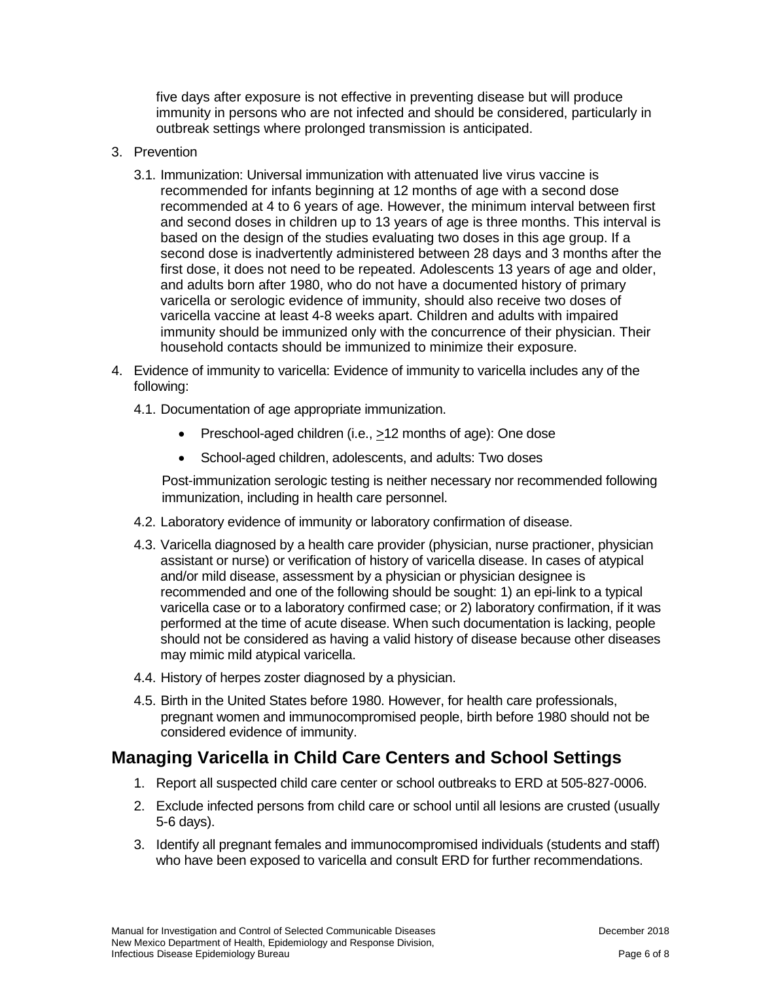five days after exposure is not effective in preventing disease but will produce immunity in persons who are not infected and should be considered, particularly in outbreak settings where prolonged transmission is anticipated.

- 3. Prevention
	- 3.1. Immunization: Universal immunization with attenuated live virus vaccine is recommended for infants beginning at 12 months of age with a second dose recommended at 4 to 6 years of age. However, the minimum interval between first and second doses in children up to 13 years of age is three months. This interval is based on the design of the studies evaluating two doses in this age group. If a second dose is inadvertently administered between 28 days and 3 months after the first dose, it does not need to be repeated. Adolescents 13 years of age and older, and adults born after 1980, who do not have a documented history of primary varicella or serologic evidence of immunity, should also receive two doses of varicella vaccine at least 4-8 weeks apart. Children and adults with impaired immunity should be immunized only with the concurrence of their physician. Their household contacts should be immunized to minimize their exposure.
- 4. Evidence of immunity to varicella: Evidence of immunity to varicella includes any of the following:
	- 4.1. Documentation of age appropriate immunization.
		- Preschool-aged children (i.e., >12 months of age): One dose
		- School-aged children, adolescents, and adults: Two doses

Post-immunization serologic testing is neither necessary nor recommended following immunization, including in health care personnel.

- 4.2. Laboratory evidence of immunity or laboratory confirmation of disease.
- 4.3. Varicella diagnosed by a health care provider (physician, nurse practioner, physician assistant or nurse) or verification of history of varicella disease. In cases of atypical and/or mild disease, assessment by a physician or physician designee is recommended and one of the following should be sought: 1) an epi-link to a typical varicella case or to a laboratory confirmed case; or 2) laboratory confirmation, if it was performed at the time of acute disease. When such documentation is lacking, people should not be considered as having a valid history of disease because other diseases may mimic mild atypical varicella.
- 4.4. History of herpes zoster diagnosed by a physician.
- 4.5. Birth in the United States before 1980. However, for health care professionals, pregnant women and immunocompromised people, birth before 1980 should not be considered evidence of immunity.

### **Managing Varicella in Child Care Centers and School Settings**

- 1. Report all suspected child care center or school outbreaks to ERD at 505-827-0006.
- 2. Exclude infected persons from child care or school until all lesions are crusted (usually 5-6 days).
- 3. Identify all pregnant females and immunocompromised individuals (students and staff) who have been exposed to varicella and consult ERD for further recommendations.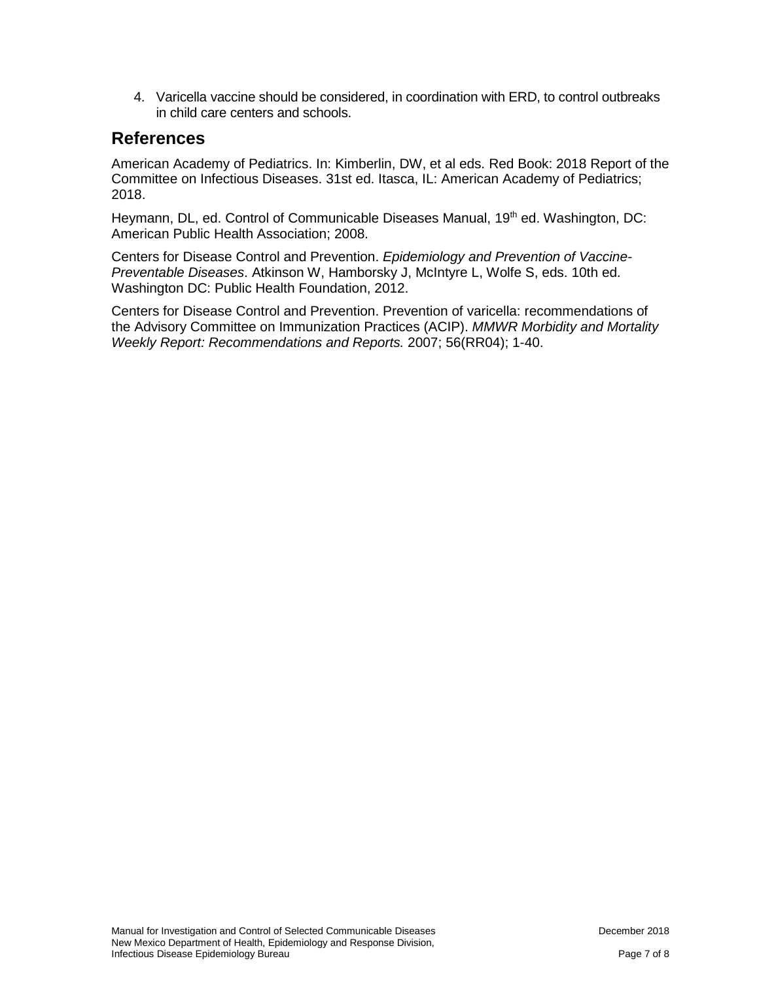4. Varicella vaccine should be considered, in coordination with ERD, to control outbreaks in child care centers and schools.

#### **References**

American Academy of Pediatrics. In: Kimberlin, DW, et al eds. Red Book: 2018 Report of the Committee on Infectious Diseases. 31st ed. Itasca, IL: American Academy of Pediatrics; 2018.

Heymann, DL, ed. Control of Communicable Diseases Manual, 19<sup>th</sup> ed. Washington, DC: American Public Health Association; 2008.

Centers for Disease Control and Prevention. *Epidemiology and Prevention of Vaccine-Preventable Diseases*. Atkinson W, Hamborsky J, McIntyre L, Wolfe S, eds. 10th ed. Washington DC: Public Health Foundation, 2012.

Centers for Disease Control and Prevention. Prevention of varicella: recommendations of the Advisory Committee on Immunization Practices (ACIP). *MMWR Morbidity and Mortality Weekly Report: Recommendations and Reports.* 2007; 56(RR04); 1-40.